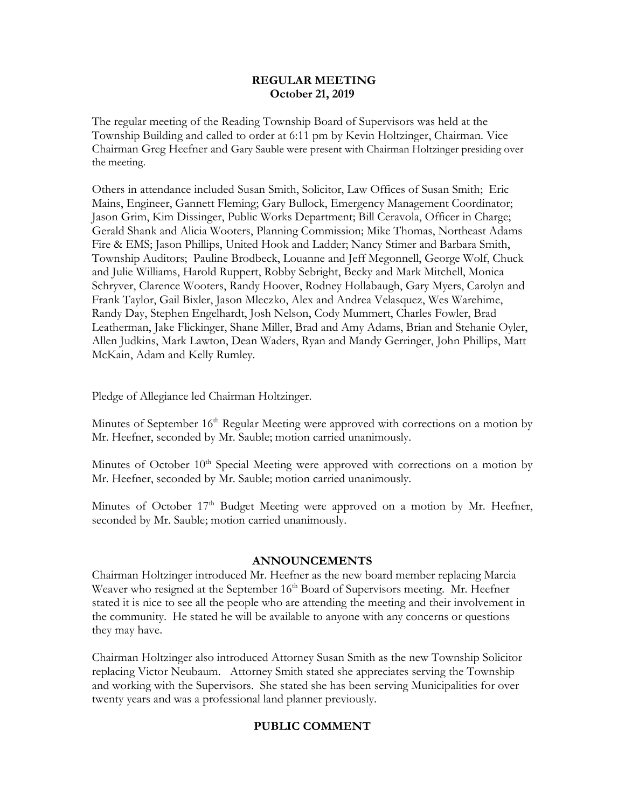# **REGULAR MEETING October 21, 2019**

The regular meeting of the Reading Township Board of Supervisors was held at the Township Building and called to order at 6:11 pm by Kevin Holtzinger, Chairman. Vice Chairman Greg Heefner and Gary Sauble were present with Chairman Holtzinger presiding over the meeting.

Others in attendance included Susan Smith, Solicitor, Law Offices of Susan Smith; Eric Mains, Engineer, Gannett Fleming; Gary Bullock, Emergency Management Coordinator; Jason Grim, Kim Dissinger, Public Works Department; Bill Ceravola, Officer in Charge; Gerald Shank and Alicia Wooters, Planning Commission; Mike Thomas, Northeast Adams Fire & EMS; Jason Phillips, United Hook and Ladder; Nancy Stimer and Barbara Smith, Township Auditors; Pauline Brodbeck, Louanne and Jeff Megonnell, George Wolf, Chuck and Julie Williams, Harold Ruppert, Robby Sebright, Becky and Mark Mitchell, Monica Schryver, Clarence Wooters, Randy Hoover, Rodney Hollabaugh, Gary Myers, Carolyn and Frank Taylor, Gail Bixler, Jason Mleczko, Alex and Andrea Velasquez, Wes Warehime, Randy Day, Stephen Engelhardt, Josh Nelson, Cody Mummert, Charles Fowler, Brad Leatherman, Jake Flickinger, Shane Miller, Brad and Amy Adams, Brian and Stehanie Oyler, Allen Judkins, Mark Lawton, Dean Waders, Ryan and Mandy Gerringer, John Phillips, Matt McKain, Adam and Kelly Rumley.

Pledge of Allegiance led Chairman Holtzinger.

Minutes of September 16<sup>th</sup> Regular Meeting were approved with corrections on a motion by Mr. Heefner, seconded by Mr. Sauble; motion carried unanimously.

Minutes of October 10<sup>th</sup> Special Meeting were approved with corrections on a motion by Mr. Heefner, seconded by Mr. Sauble; motion carried unanimously.

Minutes of October 17<sup>th</sup> Budget Meeting were approved on a motion by Mr. Heefner, seconded by Mr. Sauble; motion carried unanimously.

# **ANNOUNCEMENTS**

Chairman Holtzinger introduced Mr. Heefner as the new board member replacing Marcia Weaver who resigned at the September 16<sup>th</sup> Board of Supervisors meeting. Mr. Heefner stated it is nice to see all the people who are attending the meeting and their involvement in the community. He stated he will be available to anyone with any concerns or questions they may have.

Chairman Holtzinger also introduced Attorney Susan Smith as the new Township Solicitor replacing Victor Neubaum. Attorney Smith stated she appreciates serving the Township and working with the Supervisors. She stated she has been serving Municipalities for over twenty years and was a professional land planner previously.

# **PUBLIC COMMENT**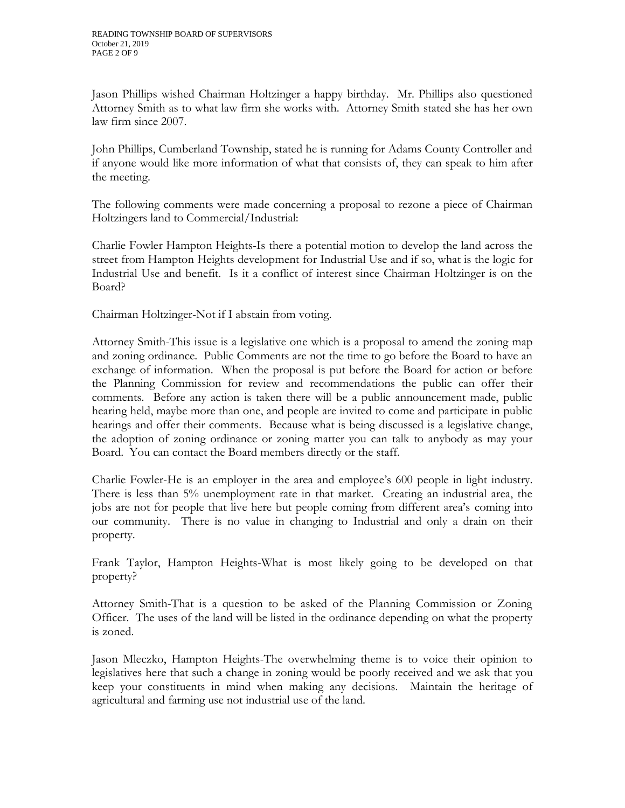Jason Phillips wished Chairman Holtzinger a happy birthday. Mr. Phillips also questioned Attorney Smith as to what law firm she works with. Attorney Smith stated she has her own law firm since 2007.

John Phillips, Cumberland Township, stated he is running for Adams County Controller and if anyone would like more information of what that consists of, they can speak to him after the meeting.

The following comments were made concerning a proposal to rezone a piece of Chairman Holtzingers land to Commercial/Industrial:

Charlie Fowler Hampton Heights-Is there a potential motion to develop the land across the street from Hampton Heights development for Industrial Use and if so, what is the logic for Industrial Use and benefit. Is it a conflict of interest since Chairman Holtzinger is on the Board?

Chairman Holtzinger-Not if I abstain from voting.

Attorney Smith-This issue is a legislative one which is a proposal to amend the zoning map and zoning ordinance. Public Comments are not the time to go before the Board to have an exchange of information. When the proposal is put before the Board for action or before the Planning Commission for review and recommendations the public can offer their comments. Before any action is taken there will be a public announcement made, public hearing held, maybe more than one, and people are invited to come and participate in public hearings and offer their comments. Because what is being discussed is a legislative change, the adoption of zoning ordinance or zoning matter you can talk to anybody as may your Board. You can contact the Board members directly or the staff.

Charlie Fowler-He is an employer in the area and employee's 600 people in light industry. There is less than 5% unemployment rate in that market. Creating an industrial area, the jobs are not for people that live here but people coming from different area's coming into our community. There is no value in changing to Industrial and only a drain on their property.

Frank Taylor, Hampton Heights-What is most likely going to be developed on that property?

Attorney Smith-That is a question to be asked of the Planning Commission or Zoning Officer. The uses of the land will be listed in the ordinance depending on what the property is zoned.

Jason Mleczko, Hampton Heights-The overwhelming theme is to voice their opinion to legislatives here that such a change in zoning would be poorly received and we ask that you keep your constituents in mind when making any decisions. Maintain the heritage of agricultural and farming use not industrial use of the land.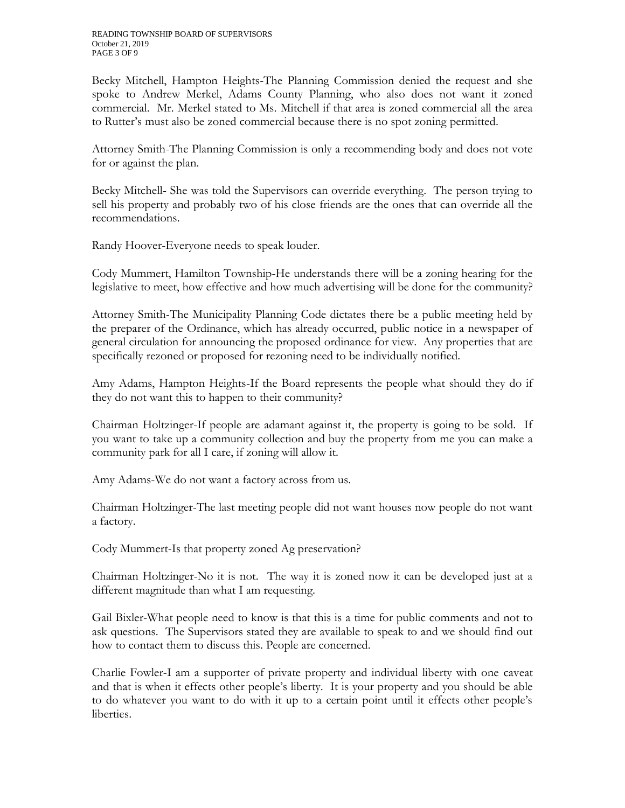Becky Mitchell, Hampton Heights-The Planning Commission denied the request and she spoke to Andrew Merkel, Adams County Planning, who also does not want it zoned commercial. Mr. Merkel stated to Ms. Mitchell if that area is zoned commercial all the area to Rutter's must also be zoned commercial because there is no spot zoning permitted.

Attorney Smith-The Planning Commission is only a recommending body and does not vote for or against the plan.

Becky Mitchell- She was told the Supervisors can override everything. The person trying to sell his property and probably two of his close friends are the ones that can override all the recommendations.

Randy Hoover-Everyone needs to speak louder.

Cody Mummert, Hamilton Township-He understands there will be a zoning hearing for the legislative to meet, how effective and how much advertising will be done for the community?

Attorney Smith-The Municipality Planning Code dictates there be a public meeting held by the preparer of the Ordinance, which has already occurred, public notice in a newspaper of general circulation for announcing the proposed ordinance for view. Any properties that are specifically rezoned or proposed for rezoning need to be individually notified.

Amy Adams, Hampton Heights-If the Board represents the people what should they do if they do not want this to happen to their community?

Chairman Holtzinger-If people are adamant against it, the property is going to be sold. If you want to take up a community collection and buy the property from me you can make a community park for all I care, if zoning will allow it.

Amy Adams-We do not want a factory across from us.

Chairman Holtzinger-The last meeting people did not want houses now people do not want a factory.

Cody Mummert-Is that property zoned Ag preservation?

Chairman Holtzinger-No it is not. The way it is zoned now it can be developed just at a different magnitude than what I am requesting.

Gail Bixler-What people need to know is that this is a time for public comments and not to ask questions. The Supervisors stated they are available to speak to and we should find out how to contact them to discuss this. People are concerned.

Charlie Fowler-I am a supporter of private property and individual liberty with one caveat and that is when it effects other people's liberty. It is your property and you should be able to do whatever you want to do with it up to a certain point until it effects other people's liberties.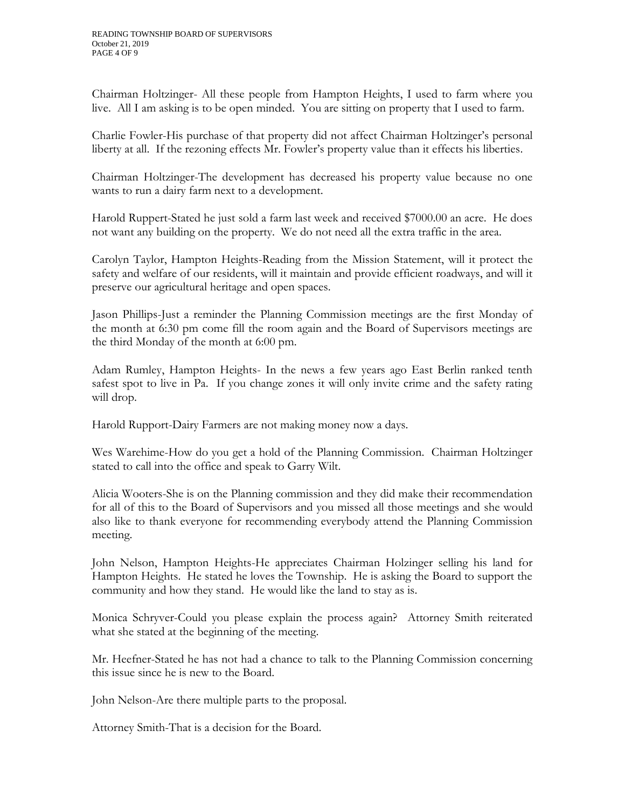Chairman Holtzinger- All these people from Hampton Heights, I used to farm where you live. All I am asking is to be open minded. You are sitting on property that I used to farm.

Charlie Fowler-His purchase of that property did not affect Chairman Holtzinger's personal liberty at all. If the rezoning effects Mr. Fowler's property value than it effects his liberties.

Chairman Holtzinger-The development has decreased his property value because no one wants to run a dairy farm next to a development.

Harold Ruppert-Stated he just sold a farm last week and received \$7000.00 an acre. He does not want any building on the property. We do not need all the extra traffic in the area.

Carolyn Taylor, Hampton Heights-Reading from the Mission Statement, will it protect the safety and welfare of our residents, will it maintain and provide efficient roadways, and will it preserve our agricultural heritage and open spaces.

Jason Phillips-Just a reminder the Planning Commission meetings are the first Monday of the month at 6:30 pm come fill the room again and the Board of Supervisors meetings are the third Monday of the month at 6:00 pm.

Adam Rumley, Hampton Heights- In the news a few years ago East Berlin ranked tenth safest spot to live in Pa. If you change zones it will only invite crime and the safety rating will drop.

Harold Rupport-Dairy Farmers are not making money now a days.

Wes Warehime-How do you get a hold of the Planning Commission. Chairman Holtzinger stated to call into the office and speak to Garry Wilt.

Alicia Wooters-She is on the Planning commission and they did make their recommendation for all of this to the Board of Supervisors and you missed all those meetings and she would also like to thank everyone for recommending everybody attend the Planning Commission meeting.

John Nelson, Hampton Heights-He appreciates Chairman Holzinger selling his land for Hampton Heights. He stated he loves the Township. He is asking the Board to support the community and how they stand. He would like the land to stay as is.

Monica Schryver-Could you please explain the process again? Attorney Smith reiterated what she stated at the beginning of the meeting.

Mr. Heefner-Stated he has not had a chance to talk to the Planning Commission concerning this issue since he is new to the Board.

John Nelson-Are there multiple parts to the proposal.

Attorney Smith-That is a decision for the Board.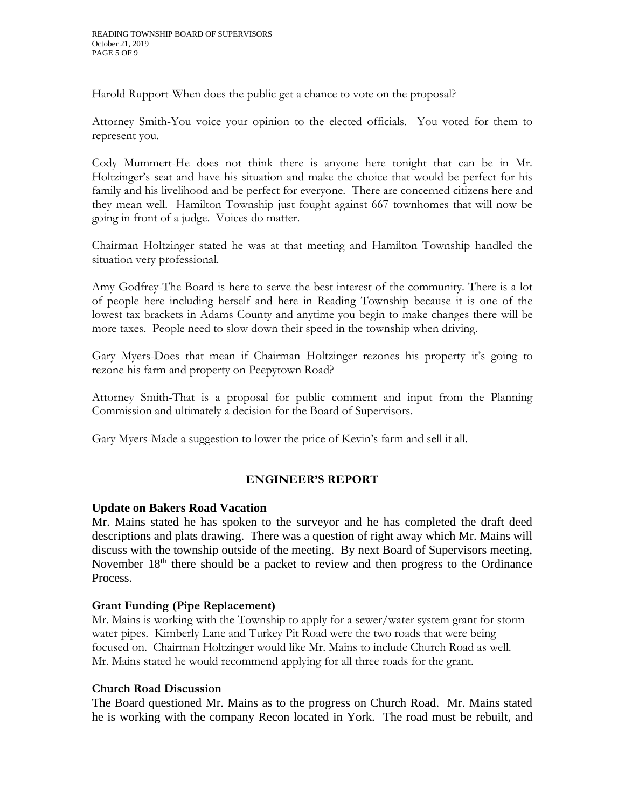Harold Rupport-When does the public get a chance to vote on the proposal?

Attorney Smith-You voice your opinion to the elected officials. You voted for them to represent you.

Cody Mummert-He does not think there is anyone here tonight that can be in Mr. Holtzinger's seat and have his situation and make the choice that would be perfect for his family and his livelihood and be perfect for everyone. There are concerned citizens here and they mean well. Hamilton Township just fought against 667 townhomes that will now be going in front of a judge. Voices do matter.

Chairman Holtzinger stated he was at that meeting and Hamilton Township handled the situation very professional.

Amy Godfrey-The Board is here to serve the best interest of the community. There is a lot of people here including herself and here in Reading Township because it is one of the lowest tax brackets in Adams County and anytime you begin to make changes there will be more taxes. People need to slow down their speed in the township when driving.

Gary Myers-Does that mean if Chairman Holtzinger rezones his property it's going to rezone his farm and property on Peepytown Road?

Attorney Smith-That is a proposal for public comment and input from the Planning Commission and ultimately a decision for the Board of Supervisors.

Gary Myers-Made a suggestion to lower the price of Kevin's farm and sell it all.

# **ENGINEER'S REPORT**

# **Update on Bakers Road Vacation**

Mr. Mains stated he has spoken to the surveyor and he has completed the draft deed descriptions and plats drawing. There was a question of right away which Mr. Mains will discuss with the township outside of the meeting. By next Board of Supervisors meeting, November 18<sup>th</sup> there should be a packet to review and then progress to the Ordinance Process.

# **Grant Funding (Pipe Replacement)**

Mr. Mains is working with the Township to apply for a sewer/water system grant for storm water pipes. Kimberly Lane and Turkey Pit Road were the two roads that were being focused on. Chairman Holtzinger would like Mr. Mains to include Church Road as well. Mr. Mains stated he would recommend applying for all three roads for the grant.

# **Church Road Discussion**

The Board questioned Mr. Mains as to the progress on Church Road. Mr. Mains stated he is working with the company Recon located in York. The road must be rebuilt, and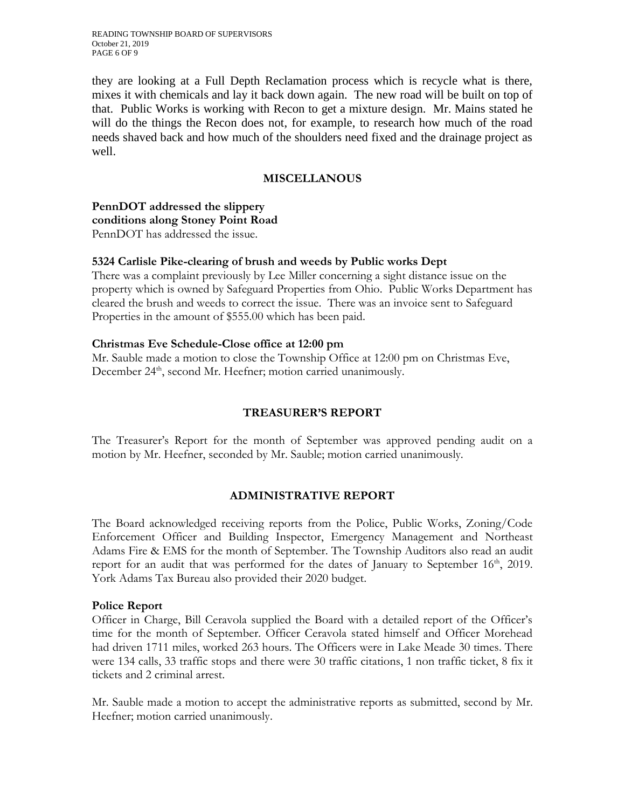READING TOWNSHIP BOARD OF SUPERVISORS October 21, 2019 PAGE 6 OF 9

they are looking at a Full Depth Reclamation process which is recycle what is there, mixes it with chemicals and lay it back down again. The new road will be built on top of that. Public Works is working with Recon to get a mixture design. Mr. Mains stated he will do the things the Recon does not, for example, to research how much of the road needs shaved back and how much of the shoulders need fixed and the drainage project as well.

## **MISCELLANOUS**

**PennDOT addressed the slippery conditions along Stoney Point Road** PennDOT has addressed the issue.

#### **5324 Carlisle Pike-clearing of brush and weeds by Public works Dept**

There was a complaint previously by Lee Miller concerning a sight distance issue on the property which is owned by Safeguard Properties from Ohio. Public Works Department has cleared the brush and weeds to correct the issue. There was an invoice sent to Safeguard Properties in the amount of \$555.00 which has been paid.

#### **Christmas Eve Schedule-Close office at 12:00 pm**

Mr. Sauble made a motion to close the Township Office at 12:00 pm on Christmas Eve, December 24<sup>th</sup>, second Mr. Heefner; motion carried unanimously.

#### **TREASURER'S REPORT**

The Treasurer's Report for the month of September was approved pending audit on a motion by Mr. Heefner, seconded by Mr. Sauble; motion carried unanimously.

#### **ADMINISTRATIVE REPORT**

The Board acknowledged receiving reports from the Police, Public Works, Zoning/Code Enforcement Officer and Building Inspector, Emergency Management and Northeast Adams Fire & EMS for the month of September. The Township Auditors also read an audit report for an audit that was performed for the dates of January to September  $16<sup>th</sup>$ , 2019. York Adams Tax Bureau also provided their 2020 budget.

#### **Police Report**

Officer in Charge, Bill Ceravola supplied the Board with a detailed report of the Officer's time for the month of September. Officer Ceravola stated himself and Officer Morehead had driven 1711 miles, worked 263 hours. The Officers were in Lake Meade 30 times. There were 134 calls, 33 traffic stops and there were 30 traffic citations, 1 non traffic ticket, 8 fix it tickets and 2 criminal arrest.

Mr. Sauble made a motion to accept the administrative reports as submitted, second by Mr. Heefner; motion carried unanimously.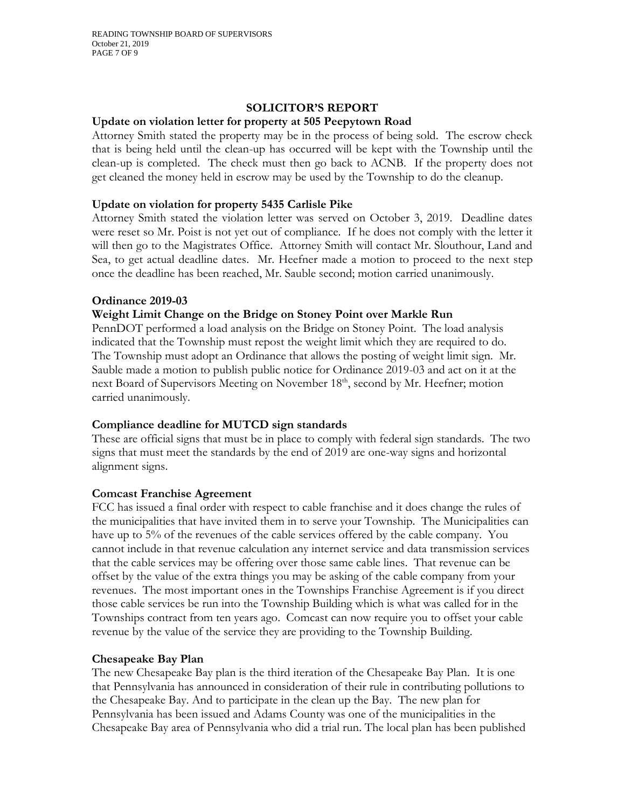## **SOLICITOR'S REPORT**

## **Update on violation letter for property at 505 Peepytown Road**

Attorney Smith stated the property may be in the process of being sold. The escrow check that is being held until the clean-up has occurred will be kept with the Township until the clean-up is completed. The check must then go back to ACNB. If the property does not get cleaned the money held in escrow may be used by the Township to do the cleanup.

# **Update on violation for property 5435 Carlisle Pike**

Attorney Smith stated the violation letter was served on October 3, 2019. Deadline dates were reset so Mr. Poist is not yet out of compliance. If he does not comply with the letter it will then go to the Magistrates Office. Attorney Smith will contact Mr. Slouthour, Land and Sea, to get actual deadline dates. Mr. Heefner made a motion to proceed to the next step once the deadline has been reached, Mr. Sauble second; motion carried unanimously.

## **Ordinance 2019-03**

## **Weight Limit Change on the Bridge on Stoney Point over Markle Run**

PennDOT performed a load analysis on the Bridge on Stoney Point. The load analysis indicated that the Township must repost the weight limit which they are required to do. The Township must adopt an Ordinance that allows the posting of weight limit sign. Mr. Sauble made a motion to publish public notice for Ordinance 2019-03 and act on it at the next Board of Supervisors Meeting on November 18<sup>th</sup>, second by Mr. Heefner; motion carried unanimously.

# **Compliance deadline for MUTCD sign standards**

These are official signs that must be in place to comply with federal sign standards. The two signs that must meet the standards by the end of 2019 are one-way signs and horizontal alignment signs.

# **Comcast Franchise Agreement**

FCC has issued a final order with respect to cable franchise and it does change the rules of the municipalities that have invited them in to serve your Township. The Municipalities can have up to 5% of the revenues of the cable services offered by the cable company. You cannot include in that revenue calculation any internet service and data transmission services that the cable services may be offering over those same cable lines. That revenue can be offset by the value of the extra things you may be asking of the cable company from your revenues. The most important ones in the Townships Franchise Agreement is if you direct those cable services be run into the Township Building which is what was called for in the Townships contract from ten years ago. Comcast can now require you to offset your cable revenue by the value of the service they are providing to the Township Building.

#### **Chesapeake Bay Plan**

The new Chesapeake Bay plan is the third iteration of the Chesapeake Bay Plan. It is one that Pennsylvania has announced in consideration of their rule in contributing pollutions to the Chesapeake Bay. And to participate in the clean up the Bay. The new plan for Pennsylvania has been issued and Adams County was one of the municipalities in the Chesapeake Bay area of Pennsylvania who did a trial run. The local plan has been published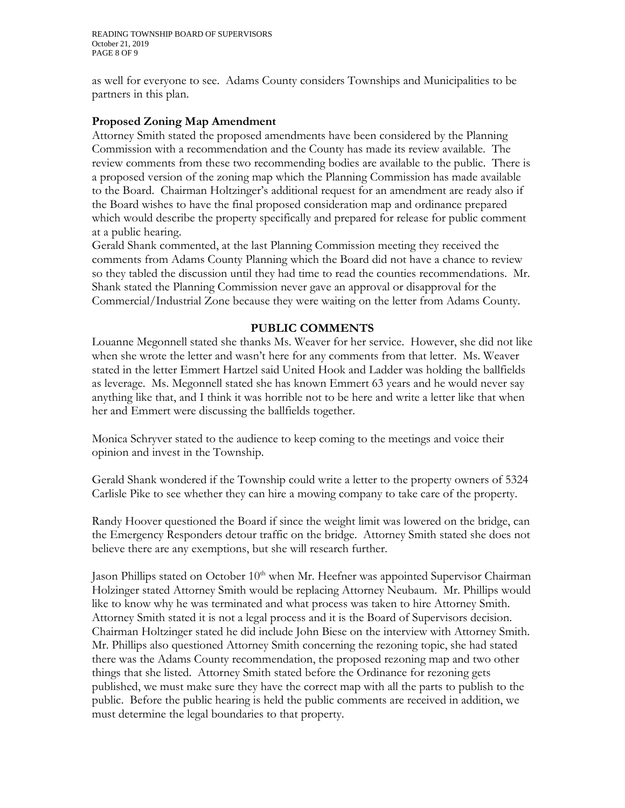READING TOWNSHIP BOARD OF SUPERVISORS October 21, 2019 PAGE 8 OF 9

as well for everyone to see. Adams County considers Townships and Municipalities to be partners in this plan.

# **Proposed Zoning Map Amendment**

Attorney Smith stated the proposed amendments have been considered by the Planning Commission with a recommendation and the County has made its review available. The review comments from these two recommending bodies are available to the public. There is a proposed version of the zoning map which the Planning Commission has made available to the Board. Chairman Holtzinger's additional request for an amendment are ready also if the Board wishes to have the final proposed consideration map and ordinance prepared which would describe the property specifically and prepared for release for public comment at a public hearing.

Gerald Shank commented, at the last Planning Commission meeting they received the comments from Adams County Planning which the Board did not have a chance to review so they tabled the discussion until they had time to read the counties recommendations. Mr. Shank stated the Planning Commission never gave an approval or disapproval for the Commercial/Industrial Zone because they were waiting on the letter from Adams County.

## **PUBLIC COMMENTS**

Louanne Megonnell stated she thanks Ms. Weaver for her service. However, she did not like when she wrote the letter and wasn't here for any comments from that letter. Ms. Weaver stated in the letter Emmert Hartzel said United Hook and Ladder was holding the ballfields as leverage. Ms. Megonnell stated she has known Emmert 63 years and he would never say anything like that, and I think it was horrible not to be here and write a letter like that when her and Emmert were discussing the ballfields together.

Monica Schryver stated to the audience to keep coming to the meetings and voice their opinion and invest in the Township.

Gerald Shank wondered if the Township could write a letter to the property owners of 5324 Carlisle Pike to see whether they can hire a mowing company to take care of the property.

Randy Hoover questioned the Board if since the weight limit was lowered on the bridge, can the Emergency Responders detour traffic on the bridge. Attorney Smith stated she does not believe there are any exemptions, but she will research further.

Jason Phillips stated on October 10<sup>th</sup> when Mr. Heefner was appointed Supervisor Chairman Holzinger stated Attorney Smith would be replacing Attorney Neubaum. Mr. Phillips would like to know why he was terminated and what process was taken to hire Attorney Smith. Attorney Smith stated it is not a legal process and it is the Board of Supervisors decision. Chairman Holtzinger stated he did include John Biese on the interview with Attorney Smith. Mr. Phillips also questioned Attorney Smith concerning the rezoning topic, she had stated there was the Adams County recommendation, the proposed rezoning map and two other things that she listed. Attorney Smith stated before the Ordinance for rezoning gets published, we must make sure they have the correct map with all the parts to publish to the public. Before the public hearing is held the public comments are received in addition, we must determine the legal boundaries to that property.